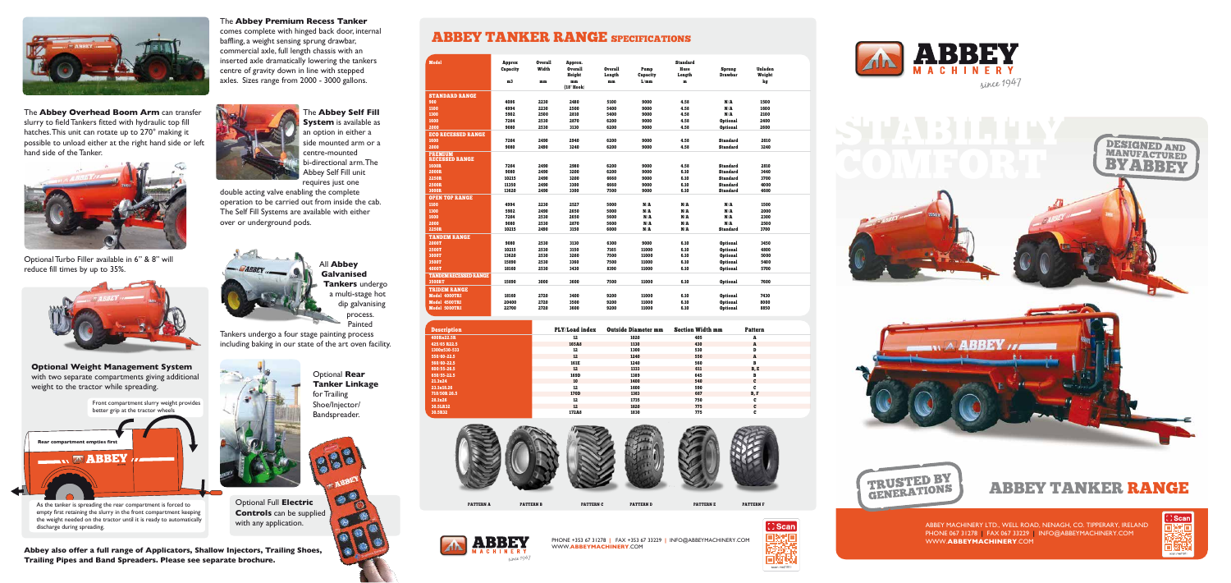ABBEY TANKER RANGE

ABBEY MACHINERY LTD., WELL ROAD, NENAGH, CO. TIPPERARY, IRELAND PHONE 067 31278 **|** FAX 067 33229 **|** INFO@ABBEYMACHINERY.COM WWW.**ABBEYMACHINERY**.COM



## The **Abbey Premium Recess Tanker**

comes complete with hinged back door, internal baffling, a weight sensing sprung drawbar, commercial axle, full length chassis with an inserted axle dramatically lowering the tankers centre of gravity down in line with stepped axles. Sizes range from 2000 - 3000 gallons.





Optional Turbo Filler available in 6" & 8" will Published in the available in 6 & 6 will<br>reduce fill times by up to 35%.





The **Abbey Overhead Boom Arm** can transfer slurry to field Tankers fitted with hydraulic top fill hatches. This unit can rotate up to 270° making it possible to unload either at the right hand side or left hand side of the Tanker.

The **Abbey Self Fill System** is available as an option in either a side mounted arm or a centre-mounted bi-directional arm. The Abbey Self Fill unit requires just one

double acting valve enabling the complete operation to be carried out from inside the cab. The Self Fill Systems are available with either over or underground pods.



**Galvanised Tankers** undergo a multi-stage hot dip galvanising process. Painted

Tankers undergo a four stage painting process including baking in our state of the art oven facility.



**Optional Weight Management System** with two separate compartments giving additional weight to the tractor while spreading.

> Optional Full **Electric Controls** can be supplied with any application.

Optional **Rear Tanker Linkage**  for Trailing Shoe/Injector/ Bandspreader.



 $\bullet$ 

## ABBEY TANKER RANGE SPECIFICATIONS

PHONE +353 67 31278 **|** FAX +353 67 33229 **|** INFO@ABBEYMACHINERY.COM WWW.**ABBEYMACHINERY**.COM





| <b>Model</b>                            |                    | <b>Overall</b> |                           |                |          | <b>Standard</b> |                 |                |  |
|-----------------------------------------|--------------------|----------------|---------------------------|----------------|----------|-----------------|-----------------|----------------|--|
|                                         | Approx<br>Capacity | Width          | Approx.<br><b>Overall</b> | <b>Overall</b> | Pump     | Hose            | Sprung          | <b>Unladen</b> |  |
|                                         |                    |                | Height                    | Length         | Capacity | Length          | <b>Drawbar</b>  | Weight         |  |
|                                         | m <sub>3</sub>     | mm             | mm                        | mm             | L/mm     | m               |                 | kg             |  |
|                                         |                    |                | (18" Hook)                |                |          |                 |                 |                |  |
| <b>STANDARD RANGE</b>                   |                    |                |                           |                |          |                 |                 |                |  |
| 900                                     | 4086               | 2230           | 2480                      | 5100           | 9000     | 4.58            | N/A             | 1500           |  |
| 1100                                    | 4994               | 2230           | 2500                      | 5400           | 9000     | 4.58            | N/A             | 1600           |  |
| 1300                                    | 5902               | 2500           | 2810                      | 5400           | 9000     | 4.58            | N/A             | 2100           |  |
| 1600                                    | 7264               | 2530           | 2870                      | 6200           | 9000     | 4.58            | <b>Optional</b> | 2400           |  |
| 2000                                    | 9080               | 2530           | 3130                      | 6200           | 9000     | 4.58            | <b>Optional</b> | 2600           |  |
| <b>ECO RECESSED RANGE</b>               |                    |                |                           |                |          |                 |                 |                |  |
| 1600                                    | 7264               | 2490           | 2940                      | 6200           | 9000     | 4.58            | <b>Standard</b> | 2610           |  |
| 2000                                    | 9080               | 2490           | 3240                      | 6200           | 9000     | 4.58            | <b>Standard</b> | 3240           |  |
| <b>PREMIUM</b><br><b>RECESSED RANGE</b> |                    |                |                           |                |          |                 |                 |                |  |
| 1600R                                   | 7264               | 2490           | 2980                      | 6200           | 9000     | 4.58            | <b>Standard</b> | 2810           |  |
| <b>2000R</b>                            | 9080               | 2490           | 3200                      | 6200           | 9000     | 6.10            | <b>Standard</b> | 3440           |  |
| <b>2250R</b>                            | 10215              | 2490           | 3200                      | 6660           | 9000     | 6.10            | <b>Standard</b> | 3700           |  |
| 2500R                                   | 11350              | 2490           | 3300                      | 6660           | 9000     | 6.10            | <b>Standard</b> | 4000           |  |
| 3000R                                   | 13620              | 2490           | 3300                      | 7500           | 9000     | 6.10            | <b>Standard</b> | 4680           |  |
| <b>OPEN TOP RANGE</b>                   |                    |                |                           |                |          |                 |                 |                |  |
| 1100                                    | 4994               | 2230           | 2527                      | 5000           | N/A      | N/A             | N/A             | 1500           |  |
| 1300                                    | 5902               | 2490           | 2650                      | 5000           | N/A      | N/A             | N/A             | 2000           |  |
| 1600                                    | 7264               | 2530           | 2650                      | 5600           | N/A      | N/A             | N/A             | 2300           |  |
| 2000                                    | 9080               | 2530           | 2870                      | 5600           | N/A      | N/A             | N/A             | 2500           |  |
| 2250R                                   | 10215              | 2490           | 3150                      | 6000           | N/A      | N/A             | <b>Standard</b> | 3700           |  |
| <b>TANDEM RANGE</b>                     |                    |                |                           |                |          |                 |                 |                |  |
| 2000T                                   | 9080               | 2530           | 3130                      | 6300           | 9000     | 6.10            | <b>Optional</b> | 3450           |  |
| 2500T                                   | 10215              | 2530           | 3150                      | 7165           | 11000    | 6.10            | <b>Optional</b> | 4800           |  |
| 3000T                                   | 13620              | 2530           | 3260                      | 7500           | 11000    | 6.10            | <b>Optional</b> | 5000           |  |
| 3500T                                   | 15890              | 2530           | 3360                      | 7500           | 11000    | 6.10            | <b>Optional</b> | 5400           |  |
| 4000T                                   | 18160              | 2530           | 3430                      | 8390           | 11000    | 6.10            | <b>Optional</b> | 5700           |  |
| <b>TANDEM RECESSED RANGE</b>            |                    |                |                           |                |          |                 |                 |                |  |
| 3500RT                                  | 15890              | 3000           | 3600                      | 7500           | 11000    | 6.10            | <b>Optional</b> | 7600           |  |
| <b>TRIDEM RANGE</b>                     |                    |                |                           |                |          |                 |                 |                |  |
| Model 4000TRI                           | 18160              | 2720           | 3400                      | 9200           | 11000    | 6.10            | <b>Optional</b> | 7430           |  |
| Model 4500TRI                           | 20400              | 2720           | 3500                      | 9200           | 11000    | 6.10            | <b>Optional</b> | 8000           |  |
| Model 5000TRI                           | 22700              | 2720           | 3600                      | 9200           | 11000    | 6.10            | <b>Optional</b> | 8850           |  |
|                                         |                    |                |                           |                |          |                 |                 |                |  |

| <b>Description</b> | PLY/Load index | <b>Outside Diameter mm</b> | <b>Section Width mm</b> | <b>Pattern</b> |  |
|--------------------|----------------|----------------------------|-------------------------|----------------|--|
| 400Rx22.5R         | 12             | 1020                       | 405                     | A              |  |
| 425/65 R22.5       | 165A8          | 1130                       | 430                     | A              |  |
| 1300x530-533       | 12             | 1300                       | 530                     | D              |  |
| 550/60-22.5        | 12             | 1240                       | 550                     | A              |  |
| 560/60-22.5        | 161E           | 1240                       | 560                     | B              |  |
| 600/55-26.5        | 12             | 1333                       | 611                     | B, E           |  |
| 650/55-22.5        | 169D           | 1389                       | 645                     | в              |  |
| 21.3x24            | 10             | 1400                       | 540                     | C              |  |
| 23.1x18.26         | 12             | 1600                       | 590                     | C              |  |
| 710/50R 26.5       | 170D           | 1383                       | 687                     | B, F           |  |
| 28.1x26            | 12             | 1735                       | 750                     | C              |  |
| 30.5LR32           | 12             | 1820                       | 775                     | C              |  |
| 30.5R32            | 172A8          | 1830                       | 775                     | c              |  |



since 1947



ABBE

PATTERN A PATTERN B PATTERN C PATTERN D PATTERN E PATTERN F









As the tanker is spreading the rear compartment is forced to empty first retaining the slurry in the front compartment keeping the weight needed on the tractor until it is ready to automatically discharge during spreading.

**Abbey also offer a full range of Applicators, Shallow Injectors, Trailing Shoes, Trailing Pipes and Band Spreaders. Please see separate brochure.**